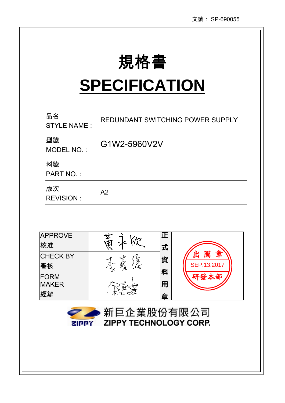| 規格書 |
|-----|
|-----|

# **SPECIFICATION**

| 品名<br><b>STYLE NAME:</b>                             |              | REDUNDANT SWITCHING POWER SUPPLY |                            |  |  |
|------------------------------------------------------|--------------|----------------------------------|----------------------------|--|--|
| 型號<br>MODEL NO.:                                     | G1W2-5960V2V |                                  |                            |  |  |
| 料號<br><b>PART NO.:</b>                               |              |                                  |                            |  |  |
| 版次<br><b>REVISION:</b>                               | A2           |                                  |                            |  |  |
|                                                      |              |                                  |                            |  |  |
| <b>APPROVE</b><br>核准                                 |              | 正<br>式                           |                            |  |  |
| <b>CHECK BY</b><br>審核                                |              | 資<br>料                           | 圖<br>出<br>旦<br>SEP.13.2017 |  |  |
| <b>FORM</b><br><b>MAKER</b><br>經辦                    |              | 用<br>章                           |                            |  |  |
| 新巨企業股份有限公司<br><b>ZIPPY TECHNOLOGY CORP.</b><br>21007 |              |                                  |                            |  |  |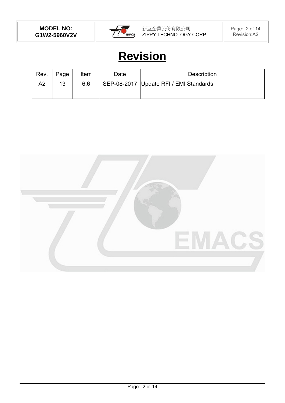

# **Revision**

| Rev. | Page | Item | Date | <b>Description</b>                       |
|------|------|------|------|------------------------------------------|
| A2   | 13   | 6.6  |      | SEP-08-2017   Update RFI / EMI Standards |
|      |      |      |      |                                          |

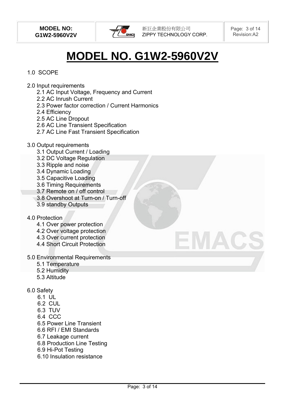

# **MODEL NO. G1W2-5960V2V**

# 1.0 SCOPE

- 2.0 Input requirements
	- 2.1 AC Input Voltage, Frequency and Current
	- 2.2 AC Inrush Current
	- 2.3 Power factor correction / Current Harmonics
	- 2.4 Efficiency
	- 2.5 AC Line Dropout
	- 2.6 AC Line Transient Specification
	- 2.7 AC Line Fast Transient Specification
- 3.0 Output requirements
	- 3.1 Output Current / Loading
	- 3.2 DC Voltage Regulation
	- 3.3 Ripple and noise
	- 3.4 Dynamic Loading
	- 3.5 Capacitive Loading
	- 3.6 Timing Requirements
	- 3.7 Remote on / off control
	- 3.8 Overshoot at Turn-on / Turn-off
	- 3.9 standby Outputs

#### 4.0 Protection

- 4.1 Over power protection
- 4.2 Over voltage protection
- 4.3 Over current protection
- 4.4 Short Circuit Protection
- 5.0 Environmental Requirements
	- 5.1 Temperature
	- 5.2 Humidity
	- 5.3 Altitude
- 6.0 Safety
	- 6.1 UL
	- 6.2 CUL
	- 6.3 TUV
	- 6.4 CCC
	- 6.5 Power Line Transient
	- 6.6 RFI / EMI Standards
	- 6.7 Leakage current
	- 6.8 Production Line Testing
	- 6.9 Hi-Pot Testing
	- 6.10 Insulation resistance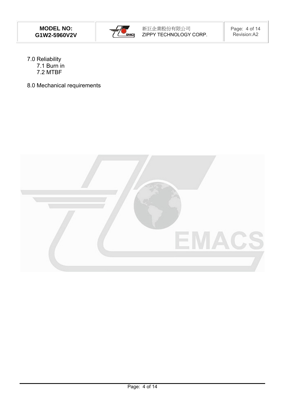

- 7.0 Reliability 7.1 Burn in 7.2 MTBF
- 8.0 Mechanical requirements

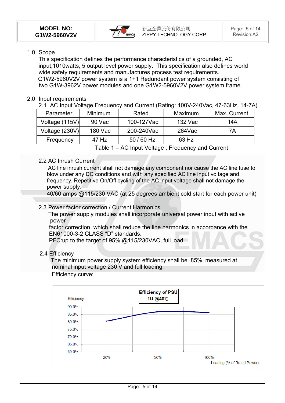

### 1.0 Scope

This specification defines the performance characteristics of a grounded, AC input,1010watts, 5 output level power supply. This specification also defines world wide safety requirements and manufactures process test requirements. G1W2-5960V2V power system is a 1+1 Redundant power system consisting of two G1W-3962V power modules and one G1W2-5960V2V power system frame.

# 2.0 Input requirements

2.1 AC Input Voltage,Frequency and Current (Rating: 100V-240Vac, 47-63Hz, 14-7A)

| Parameter      | <b>Minimum</b> | Rated      | Maximum   | Max. Current |
|----------------|----------------|------------|-----------|--------------|
| Voltage (115V) | 90 Vac         | 100-127Vac | 132 Vac   | 14A          |
| Voltage (230V) | 180 Vac        | 200-240Vac | $264$ Vac | 7A           |
| Frequency      | 47 Hz          | $50/60$ Hz | 63 Hz     |              |

Table 1 – AC Input Voltage , Frequency and Current

# 2.2 AC Inrush Current

 AC line inrush current shall not damage any component nor cause the AC line fuse to blow under any DC conditions and with any specified AC line input voltage and frequency. Repetitive On/Off cycling of the AC input voltage shall not damage the power supply.

40/60 amps @115/230 VAC (at 25 degrees ambient cold start for each power unit)

# 2.3 Power factor correction / Current Harmonics

 The power supply modules shall incorporate universal power input with active power

factor correction, which shall reduce the line harmonics in accordance with the EN61000-3-2 CLASS "D" standards.

PFC:up to the target of 95% @115/230VAC, full load.

# 2.4 Efficiency

 The minimum power supply system efficiency shall be 85%, measured at nominal input voltage 230 V and full loading.

# Efficiency curve:

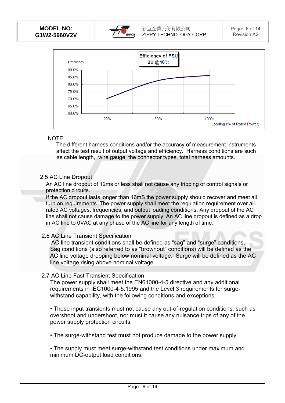



#### NOTE:

 The different harness conditions and/or the accuracy of measurement instruments affect the test result of output voltage and efficiency. Harness conditions are such as cable length, wire gauge, the connector types, total harness amounts.

#### 2.5 AC Line Dropout

An AC line dropout of 12ms or less shall not cause any tripping of control signals or protection circuits.

If the AC dropout lasts longer than 16mS the power supply should recover and meet all turn on requirements. The power supply shall meet the regulation requirement over all rated AC voltages, frequencies, and output loading conditions. Any dropout of the AC line shall not cause damage to the power supply. An AC line dropout is defined as a drop in AC line to 0VAC at any phase of the AC line for any length of time.

#### 2.6 AC Line Transient Specification

 AC line transient conditions shall be defined as "sag" and "surge" conditions. Sag conditions (also referred to as "brownout" conditions) will be defined as the AC line voltage dropping below nominal voltage. Surge will be defined as the AC line voltage rising above nominal voltage.

#### 2.7 AC Line Fast Transient Specification

The power supply shall meet the EN61000-4-5 directive and any additional requirements in IEC1000-4-5:1995 and the Level 3 requirements for surgewithstand capability, with the following conditions and exceptions:

• These input transients must not cause any out-of-regulation conditions, such as overshoot and undershoot, nor must it cause any nuisance trips of any of the power supply protection circuits.

• The surge-withstand test must not produce damage to the power supply.

• The supply must meet surge-withstand test conditions under maximum and minimum DC-output load conditions.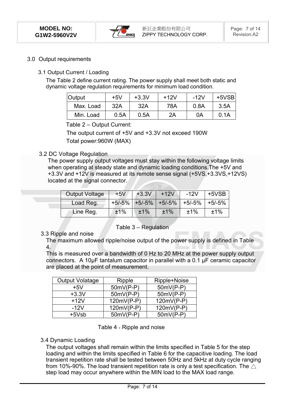

#### 3.0 Output requirements

#### 3.1 Output Current / Loading

The Table 2 define current rating. The power supply shall meet both static and dynamic voltage regulation requirements for minimum load condition.

| <b>Output</b> | $+5V$ | $+3.3V$ | $+12V$ | $-12V$ | $+5VSB$ |
|---------------|-------|---------|--------|--------|---------|
| Max. Load     | 32A   | 32A     | 78A    | 0.8A   | 3.5A    |
| Min. Load     | 0.5A  | 0.5A    | 2A     | 0A     | 0.1A    |

Table 2 – Output Current:

The output current of +5V and +3.3V not exceed 190W Total power:960W (MAX)

#### 3.2 DC Voltage Regulation

The power supply output voltages must stay within the following voltage limits when operating at steady state and dynamic loading conditions.The +5V and +3.3V and +12V is measured at its remote sense signal (+5VS,+3.3VS,+12VS) located at the signal connector.

| <b>Output Voltage</b> | $+5V$ | $+3.3V$ | $+12V$ | $-12V$                      | $+5VSB$  |
|-----------------------|-------|---------|--------|-----------------------------|----------|
| Load Reg.             |       |         |        | +5/-5% +5/-5% +5/-5% +5/-5% | $+5/-5%$ |
| Line Reg.             | ±1%   | ±1%     | ±1%    | ±1%                         | ±1%      |

#### Table 3 – Regulation

#### 3.3 Ripple and noise

The maximum allowed ripple/noise output of the power supply is defined in Table 4.

This is measured over a bandwidth of 0 Hz to 20 MHz at the power supply output connectors. A 10μF tantalum capacitor in parallel with a 0.1 μF ceramic capacitor are placed at the point of measurement.

| <b>Output Volatage</b> | Ripple      | Ripple+Noise |
|------------------------|-------------|--------------|
| $+5V$                  | $50mV(P-P)$ | $50mV(P-P)$  |
| $+3.3V$                | $50mV(P-P)$ | $50mV(P-P)$  |
| $+12V$                 | 120mV(P-P)  | 120mV(P-P)   |
| $-12V$                 | 120mV(P-P)  | 120mV(P-P)   |
| $+5Vsb$                | $50mV(P-P)$ | $50mV(P-P)$  |

Table 4 - Ripple and noise

#### 3.4 Dynamic Loading

The output voltages shall remain within the limits specified in Table 5 for the step loading and within the limits specified in Table 6 for the capacitive loading. The load transient repetition rate shall be tested between 50Hz and 5kHz at duty cycle ranging from 10%-90%. The load transient repetition rate is only a test specification. The  $\triangle$ step load may occur anywhere within the MIN load to the MAX load range.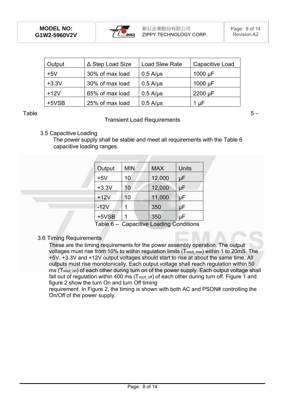

| Output  | ∆ Step Load Size | <b>Load Slew Rate</b> | Capacitive Load |
|---------|------------------|-----------------------|-----------------|
| $+5V$   | 30% of max load  | $0.5$ A/ $\mu$ s      | 1000 $\mu$ F    |
| $+3.3V$ | 30% of max load  | $0.5$ A/ $\mu$ s      | 1000 $\mu$ F    |
| $+12V$  | 65% of max load  | $0.5$ A/ $\mu$ s      | 2200 µF         |
| +5VSB   | 25% of max load  | $0.5$ A/ $\mu$ s      | 1 µF            |

#### Table  $5 -$

#### Transient Load Requirements

3.5 Capacitive Loading

 The power supply shall be stable and meet all requirements with the Table 6 capacitive loading ranges.

| Output  | <b>MIN</b> | <b>MAX</b> | Units |
|---------|------------|------------|-------|
| $+5V$   | 10         | 12,000     | μF    |
| $+3.3V$ | 10         | 12,000     | μF    |
| $+12V$  | 10         | 11,000     | μF    |
| $-12V$  |            | 350        | μF    |
| $+5VSB$ |            | 350        | μF    |

Table 6 – Capacitive Loading Conditions

3.6 Timing Requirements

These are the timing requirements for the power assembly operation. The output voltages must rise from 10% to within regulation limits (Tvout rise) within 1 to 20mS. The +5V, +3.3V and +12V output voltages should start to rise at about the same time. All outputs must rise monotonically. Each output voltage shall reach regulation within 50 ms (T<sub>vout on</sub>) of each other during turn on of the power supply. Each output voltage shall fall out of regulation within 400 ms (T<sub>vout off</sub>) of each other during turn off. Figure 1 and figure 2 show the turn On and turn Off timing

requirement. In Figure 2, the timing is shown with both AC and PSON# controlling the On/Off of the power supply.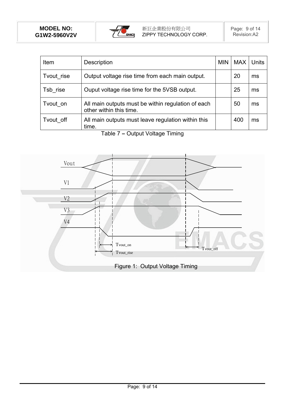

| <b>Item</b> | Description                                                                   | <b>MIN</b> | <b>MAX</b> | <b>Units</b> |
|-------------|-------------------------------------------------------------------------------|------------|------------|--------------|
| Tvout rise  | Output voltage rise time from each main output.                               |            | 20         | ms           |
| Tsb rise    | Ouput voltage rise time for the 5VSB output.                                  |            | 25         | ms           |
| Tvout on    | All main outputs must be within regulation of each<br>other within this time. |            | 50         | ms           |
| Tvout off   | All main outputs must leave regulation within this<br>time.                   |            | 400        | ms           |

Table 7 **–** Output Voltage Timing

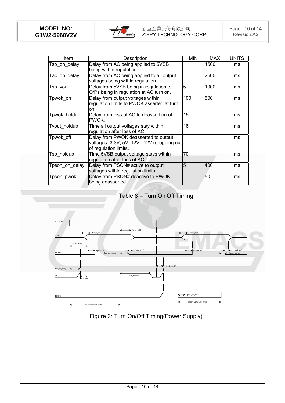

| ltem           | Description                                                                                                  | <b>MIN</b> | <b>MAX</b> | <b>UNITS</b> |
|----------------|--------------------------------------------------------------------------------------------------------------|------------|------------|--------------|
| Tsb on delay   | Delay from AC being applied to 5VSB<br>being within regulation.                                              |            | 1500       | ms           |
| Tac on delay   | Delay from AC being applied to all output<br>voltages being within regulation.                               |            | 2500       | ms           |
| Tsb vout       | Delay from 5VSB being in regulation to<br>O/Ps being in regulation at AC turn on.                            | 5          | 1000       | ms           |
| Tpwok on       | Delay from output voltages within<br>regulation limits to PWOK asserted at turn<br>on.                       | 100        | 500        | ms           |
| Tpwok holdup   | Delay from loss of AC to deassertion of<br>PWOK.                                                             | 15         |            | ms           |
| Tvout holdup   | Time all output voltages stay within<br>regulation after loss of AC.                                         | 16         |            | ms           |
| Tpwok off      | Delay from PWOK deasserted to output<br>voltages (3.3V, 5V, 12V, -12V) dropping out<br>of regulation limits. |            |            | ms           |
| Tsb holdup     | Time 5VSB output voltage stays within<br>regulation after loss of AC.                                        | 70         |            | ms           |
| Tpson on delay | Delay from PSON# active to output<br>voltages within regulation limits.                                      | 5          | 1400       | ms           |
| Tpson pwok     | Delay from PSON# deactive to PWOK<br>being deasserted.                                                       |            | 50         | ms           |

# Table 8 **–** Turn OnlOff Timing



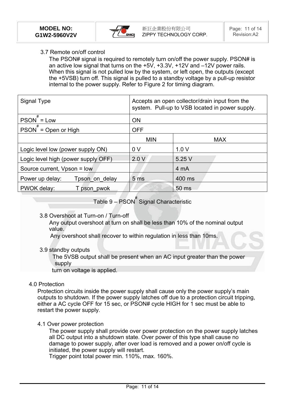

### 3.7 Remote on/off control

The PSON# signal is required to remotely turn on/off the power supply. PSON# is an active low signal that turns on the +5V, +3.3V, +12V and –12V power rails. When this signal is not pulled low by the system, or left open, the outputs (except the +5VSB) turn off. This signal is pulled to a standby voltage by a pull-up resistor internal to the power supply. Refer to Figure 2 for timing diagram.

| Signal Type                         | Accepts an open collector/drain input from the<br>system. Pull-up to VSB located in power supply. |            |  |  |
|-------------------------------------|---------------------------------------------------------------------------------------------------|------------|--|--|
| $PSON$ = Low                        | <b>ON</b>                                                                                         |            |  |  |
| $PSON^{\#} = Open or High$          | <b>OFF</b>                                                                                        |            |  |  |
|                                     | <b>MIN</b>                                                                                        | <b>MAX</b> |  |  |
| Logic level low (power supply ON)   | 0 <sub>V</sub>                                                                                    | 1.0V       |  |  |
| Logic level high (power supply OFF) | 2.0V                                                                                              | 5.25 V     |  |  |
| Source current, Vpson = low         |                                                                                                   | 4 mA       |  |  |
| Power up delay:<br>Tpson on delay   | 5 <sub>ms</sub>                                                                                   | 400 ms     |  |  |
| PWOK delay:<br>T pson pwok          |                                                                                                   | 50 ms      |  |  |

Table 9 – PSON<sup>#</sup> Signal Characteristic

3.8 Overshoot at Turn-on / Turn-off

 Any output overshoot at turn on shall be less than 10% of the nominal output value.

Any overshoot shall recover to within regulation in less than 10ms.

#### 3.9 standby outputs

 The 5VSB output shall be present when an AC input greater than the power supply

turn on voltage is applied.

#### 4.0 Protection

Protection circuits inside the power supply shall cause only the power supply's main outputs to shutdown. If the power supply latches off due to a protection circuit tripping, either a AC cycle OFF for 15 sec, or PSON# cycle HIGH for 1 sec must be able to restart the power supply.

#### 4.1 Over power protection

The power supply shall provide over power protection on the power supply latches all DC output into a shutdown state. Over power of this type shall cause no damage to power supply, after over load is removed and a power on/off cycle is initiated, the power supply will restart.

Trigger point total power min. 110%, max. 160%.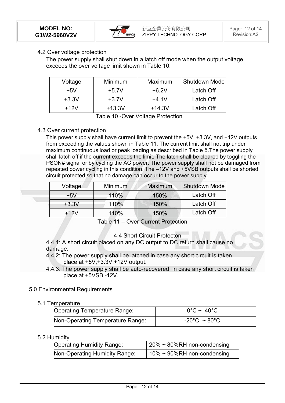

#### 4.2 Over voltage protection

The power supply shall shut down in a latch off mode when the output voltage exceeds the over voltage limit shown in Table 10.

| Voltage | Minimum  | Maximum  | Shutdown Mode |
|---------|----------|----------|---------------|
| $+5V$   | $+5.7V$  | $+6.2V$  | Latch Off     |
| $+3.3V$ | $+3.7V$  | $+4.1V$  | Latch Off     |
| $+12V$  | $+13.3V$ | $+14.3V$ | Latch Off     |

Table 10 -Over Voltage Protection

#### 4.3 Over current protection

This power supply shall have current limit to prevent the +5V, +3.3V, and +12V outputs from exceeding the values shown in Table 11. The current limit shall not trip under maximum continuous load or peak loading as described in Table 5.The power supply shall latch off if the current exceeds the limit. The latch shall be cleared by toggling the PSON# signal or by cycling the AC power. The power supply shall not be damaged from repeated power cycling in this condition. The –12V and +5VSB outputs shall be shorted circuit protected so that no damage can occur to the power supply.

| Voltage | <b>Minimum</b> | <b>Maximum</b> | Shutdown Mode |
|---------|----------------|----------------|---------------|
| $+5V$   | 110%           | 150%           | Latch Off     |
| $+3.3V$ | 110%           | 150%           | Latch Off     |
| $+12V$  | 110%           | 150%           | Latch Off     |

Table 11 – Over Current Protection

#### 4.4 Short Circuit Protecton

4.4.1: A short circuit placed on any DC output to DC return shall cause no damage.

- 4.4.2: The power supply shall be latched in case any short circuit is taken place at +5V,+3.3V,+12V output.
- 4.4.3: The power supply shall be auto-recovered in case any short circuit is taken place at +5VSB,-12V.

#### 5.0 Environmental Requirements

#### 5.1 Temperature

| Operating Temperature Range:     | $0^{\circ}$ C ~ 40 $^{\circ}$ C   |
|----------------------------------|-----------------------------------|
| Non-Operating Temperature Range: | $-20^{\circ}$ C ~ 80 $^{\circ}$ C |

#### 5.2 Humidity

| Operating Humidity Range:     | $\frac{1}{20\%}$ ~ 80%RH non-condensing |
|-------------------------------|-----------------------------------------|
| Non-Operating Humidity Range: | $10\% \approx 90\%$ RH non-condensing   |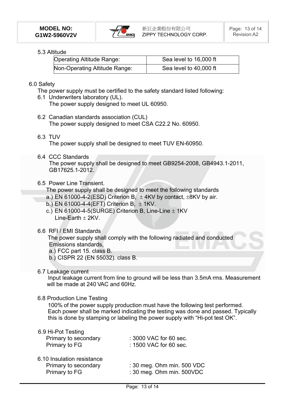

## 5.3 Altitude

| <b>Operating Altitude Range:</b> | Sea level to 16,000 ft |  |
|----------------------------------|------------------------|--|
| Non-Operating Altitude Range:    | Sea level to 40,000 ft |  |

#### 6.0 Safety

- The power supply must be certified to the safety standard listed following:
- 6.1 Underwriters laboratory (UL). The power supply designed to meet UL 60950.
- 6.2 Canadian standards association (CUL) The power supply designed to meet CSA C22.2 No. 60950.
- 6.3 TUV

The power supply shall be designed to meet TUV EN-60950.

6.4 CCC Standards

The power supply shall be designed to meet GB9254-2008, GB4943.1-2011, GB17625.1-2012.

#### 6.5 Power Line Transient.

The power supply shall be designed to meet the following standards

- a.) EN 61000-4-2(ESD) Criterion B,  $\pm$  4KV by contact,  $\pm$ 8KV by air.
- b.) EN 61000-4-4(EFT) Criterion B,  $\pm$  1KV.
- c.) EN 61000-4-5(SURGE) Criterion B, Line-Line  $\pm$  1KV  $Line-Farth + 2KV$
- 6.6 RFI / EMI Standards

 The power supply shall comply with the following radiated and conducted Emissions standards,

- a.) FCC part 15. class B.
- b.) CISPR 22 (EN 55032). class B.
- 6.7 Leakage current

 Input leakage current from line to ground will be less than 3.5mA rms. Measurement will be made at 240 VAC and 60Hz.

#### 6.8 Production Line Testing

100% of the power supply production must have the following test performed. Each power shall be marked indicating the testing was done and passed. Typically this is done by stamping or labeling the power supply with "Hi-pot test OK".

#### 6.9 Hi-Pot Testing

| Primary to secondary                                                | : 3000 VAC for 60 sec.                                  |  |
|---------------------------------------------------------------------|---------------------------------------------------------|--|
| Primary to FG                                                       | : 1500 VAC for 60 sec.                                  |  |
| 6.10 Insulation resistance<br>Primary to secondary<br>Primary to FG | : 30 meg. Ohm min. 500 VDC<br>: 30 meg. Ohm min. 500VDC |  |